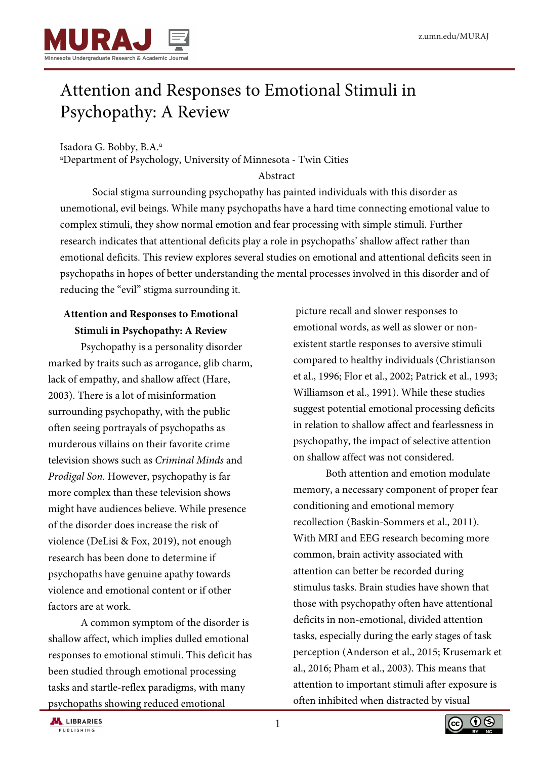

# Attention and Responses to Emotional Stimuli in Psychopathy: A Review

Isadora G. Bobby, B.A.<sup>a</sup>

<sup>a</sup>Department of Psychology, University of Minnesota - Twin Cities

Abstract

Social stigma surrounding psychopathy has painted individuals with this disorder as unemotional, evil beings. While many psychopaths have a hard time connecting emotional value to complex stimuli, they show normal emotion and fear processing with simple stimuli. Further research indicates that attentional deficits play a role in psychopaths' shallow affect rather than emotional deficits. This review explores several studies on emotional and attentional deficits seen in psychopaths in hopes of better understanding the mental processes involved in this disorder and of reducing the "evil" stigma surrounding it.

## **Attention and Responses to Emotional Stimuli in Psychopathy: A Review**

Psychopathy is a personality disorder marked by traits such as arrogance, glib charm, lack of empathy, and shallow affect (Hare, 2003). There is a lot of misinformation surrounding psychopathy, with the public often seeing portrayals of psychopaths as murderous villains on their favorite crime television shows such as *Criminal Minds* and *Prodigal Son*. However, psychopathy is far more complex than these television shows might have audiences believe. While presence of the disorder does increase the risk of violence (DeLisi & Fox, 2019), not enough research has been done to determine if psychopaths have genuine apathy towards violence and emotional content or if other factors are at work.

A common symptom of the disorder is shallow affect, which implies dulled emotional responses to emotional stimuli. This deficit has been studied through emotional processing tasks and startle-reflex paradigms, with many psychopaths showing reduced emotional

 picture recall and slower responses to emotional words, as well as slower or nonexistent startle responses to aversive stimuli compared to healthy individuals (Christianson et al., 1996; Flor et al., 2002; Patrick et al., 1993; Williamson et al., 1991). While these studies suggest potential emotional processing deficits in relation to shallow affect and fearlessness in psychopathy, the impact of selective attention on shallow affect was not considered.

Both attention and emotion modulate memory, a necessary component of proper fear conditioning and emotional memory recollection (Baskin-Sommers et al., 2011). With MRI and EEG research becoming more common, brain activity associated with attention can better be recorded during stimulus tasks. Brain studies have shown that those with psychopathy often have attentional deficits in non-emotional, divided attention tasks, especially during the early stages of task perception (Anderson et al., 2015; Krusemark et al., 2016; Pham et al., 2003). This means that attention to important stimuli after exposure is often inhibited when distracted by visual

**ALLIBRARIES DUBLISHING** 

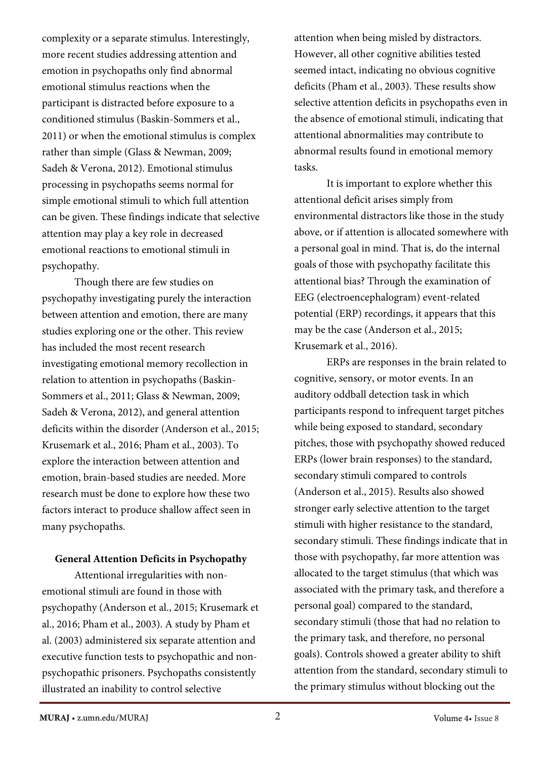complexity or a separate stimulus. Interestingly, more recent studies addressing attention and emotion in psychopaths only find abnormal emotional stimulus reactions when the participant is distracted before exposure to a conditioned stimulus (Baskin-Sommers et al., 2011) or when the emotional stimulus is complex rather than simple (Glass & Newman, 2009; Sadeh & Verona, 2012). Emotional stimulus processing in psychopaths seems normal for simple emotional stimuli to which full attention can be given. These findings indicate that selective attention may play a key role in decreased emotional reactions to emotional stimuli in psychopathy.

Though there are few studies on psychopathy investigating purely the interaction between attention and emotion, there are many studies exploring one or the other. This review has included the most recent research investigating emotional memory recollection in relation to attention in psychopaths (Baskin-Sommers et al., 2011; Glass & Newman, 2009; Sadeh & Verona, 2012), and general attention deficits within the disorder (Anderson et al., 2015; Krusemark et al., 2016; Pham et al., 2003). To explore the interaction between attention and emotion, brain-based studies are needed. More research must be done to explore how these two factors interact to produce shallow affect seen in many psychopaths.

### **General Attention Deficits in Psychopathy**

 Attentional irregularities with nonemotional stimuli are found in those with psychopathy (Anderson et al., 2015; Krusemark et al., 2016; Pham et al., 2003). A study by Pham et al. (2003) administered six separate attention and executive function tests to psychopathic and nonpsychopathic prisoners. Psychopaths consistently illustrated an inability to control selective

attention when being misled by distractors. However, all other cognitive abilities tested seemed intact, indicating no obvious cognitive deficits (Pham et al., 2003). These results show selective attention deficits in psychopaths even in the absence of emotional stimuli, indicating that attentional abnormalities may contribute to abnormal results found in emotional memory tasks.

 It is important to explore whether this attentional deficit arises simply from environmental distractors like those in the study above, or if attention is allocated somewhere with a personal goal in mind. That is, do the internal goals of those with psychopathy facilitate this attentional bias? Through the examination of EEG (electroencephalogram) event-related potential (ERP) recordings, it appears that this may be the case (Anderson et al., 2015; Krusemark et al., 2016).

ERPs are responses in the brain related to cognitive, sensory, or motor events. In an auditory oddball detection task in which participants respond to infrequent target pitches while being exposed to standard, secondary pitches, those with psychopathy showed reduced ERPs (lower brain responses) to the standard, secondary stimuli compared to controls (Anderson et al., 2015). Results also showed stronger early selective attention to the target stimuli with higher resistance to the standard, secondary stimuli. These findings indicate that in those with psychopathy, far more attention was allocated to the target stimulus (that which was associated with the primary task, and therefore a personal goal) compared to the standard, secondary stimuli (those that had no relation to the primary task, and therefore, no personal goals). Controls showed a greater ability to shift attention from the standard, secondary stimuli to the primary stimulus without blocking out the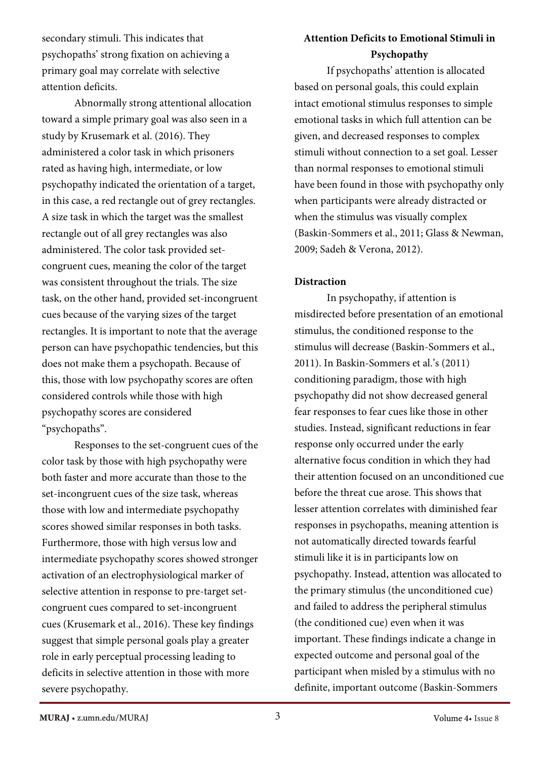secondary stimuli. This indicates that psychopaths' strong fixation on achieving a primary goal may correlate with selective attention deficits.

Abnormally strong attentional allocation toward a simple primary goal was also seen in a study by Krusemark et al. (2016). They administered a color task in which prisoners rated as having high, intermediate, or low psychopathy indicated the orientation of a target, in this case, a red rectangle out of grey rectangles. A size task in which the target was the smallest rectangle out of all grey rectangles was also administered. The color task provided setcongruent cues, meaning the color of the target was consistent throughout the trials. The size task, on the other hand, provided set-incongruent cues because of the varying sizes of the target rectangles. It is important to note that the average person can have psychopathic tendencies, but this does not make them a psychopath. Because of this, those with low psychopathy scores are often considered controls while those with high psychopathy scores are considered "psychopaths".

Responses to the set-congruent cues of the color task by those with high psychopathy were both faster and more accurate than those to the set-incongruent cues of the size task, whereas those with low and intermediate psychopathy scores showed similar responses in both tasks. Furthermore, those with high versus low and intermediate psychopathy scores showed stronger activation of an electrophysiological marker of selective attention in response to pre-target setcongruent cues compared to set-incongruent cues (Krusemark et al., 2016). These key findings suggest that simple personal goals play a greater role in early perceptual processing leading to deficits in selective attention in those with more severe psychopathy.

## **Attention Deficits to Emotional Stimuli in Psychopathy**

If psychopaths' attention is allocated based on personal goals, this could explain intact emotional stimulus responses to simple emotional tasks in which full attention can be given, and decreased responses to complex stimuli without connection to a set goal. Lesser than normal responses to emotional stimuli have been found in those with psychopathy only when participants were already distracted or when the stimulus was visually complex (Baskin-Sommers et al., 2011; Glass & Newman, 2009; Sadeh & Verona, 2012).

### **Distraction**

In psychopathy, if attention is misdirected before presentation of an emotional stimulus, the conditioned response to the stimulus will decrease (Baskin-Sommers et al., 2011). In Baskin-Sommers et al.'s (2011) conditioning paradigm, those with high psychopathy did not show decreased general fear responses to fear cues like those in other studies. Instead, significant reductions in fear response only occurred under the early alternative focus condition in which they had their attention focused on an unconditioned cue before the threat cue arose. This shows that lesser attention correlates with diminished fear responses in psychopaths, meaning attention is not automatically directed towards fearful stimuli like it is in participants low on psychopathy. Instead, attention was allocated to the primary stimulus (the unconditioned cue) and failed to address the peripheral stimulus (the conditioned cue) even when it was important. These findings indicate a change in expected outcome and personal goal of the participant when misled by a stimulus with no definite, important outcome (Baskin-Sommers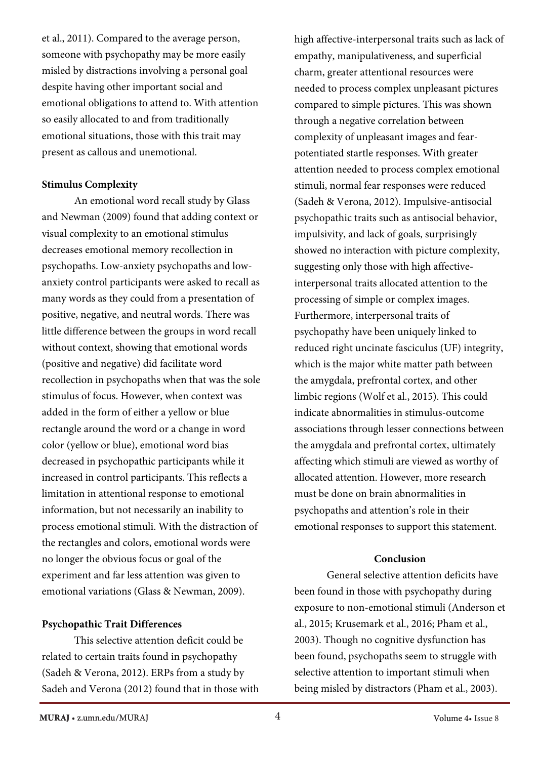et al., 2011). Compared to the average person, someone with psychopathy may be more easily misled by distractions involving a personal goal despite having other important social and emotional obligations to attend to. With attention so easily allocated to and from traditionally emotional situations, those with this trait may present as callous and unemotional.

#### **Stimulus Complexity**

 An emotional word recall study by Glass and Newman (2009) found that adding context or visual complexity to an emotional stimulus decreases emotional memory recollection in psychopaths. Low-anxiety psychopaths and lowanxiety control participants were asked to recall as many words as they could from a presentation of positive, negative, and neutral words. There was little difference between the groups in word recall without context, showing that emotional words (positive and negative) did facilitate word recollection in psychopaths when that was the sole stimulus of focus. However, when context was added in the form of either a yellow or blue rectangle around the word or a change in word color (yellow or blue), emotional word bias decreased in psychopathic participants while it increased in control participants. This reflects a limitation in attentional response to emotional information, but not necessarily an inability to process emotional stimuli. With the distraction of the rectangles and colors, emotional words were no longer the obvious focus or goal of the experiment and far less attention was given to emotional variations (Glass & Newman, 2009).

#### **Psychopathic Trait Differences**

 This selective attention deficit could be related to certain traits found in psychopathy (Sadeh & Verona, 2012). ERPs from a study by Sadeh and Verona (2012) found that in those with high affective-interpersonal traits such as lack of empathy, manipulativeness, and superficial charm, greater attentional resources were needed to process complex unpleasant pictures compared to simple pictures. This was shown through a negative correlation between complexity of unpleasant images and fearpotentiated startle responses. With greater attention needed to process complex emotional stimuli, normal fear responses were reduced (Sadeh & Verona, 2012). Impulsive-antisocial psychopathic traits such as antisocial behavior, impulsivity, and lack of goals, surprisingly showed no interaction with picture complexity, suggesting only those with high affectiveinterpersonal traits allocated attention to the processing of simple or complex images. Furthermore, interpersonal traits of psychopathy have been uniquely linked to reduced right uncinate fasciculus (UF) integrity, which is the major white matter path between the amygdala, prefrontal cortex, and other limbic regions (Wolf et al., 2015). This could indicate abnormalities in stimulus-outcome associations through lesser connections between the amygdala and prefrontal cortex, ultimately affecting which stimuli are viewed as worthy of allocated attention. However, more research must be done on brain abnormalities in psychopaths and attention's role in their emotional responses to support this statement.

#### **Conclusion**

 General selective attention deficits have been found in those with psychopathy during exposure to non-emotional stimuli (Anderson et al., 2015; Krusemark et al., 2016; Pham et al., 2003). Though no cognitive dysfunction has been found, psychopaths seem to struggle with selective attention to important stimuli when being misled by distractors (Pham et al., 2003).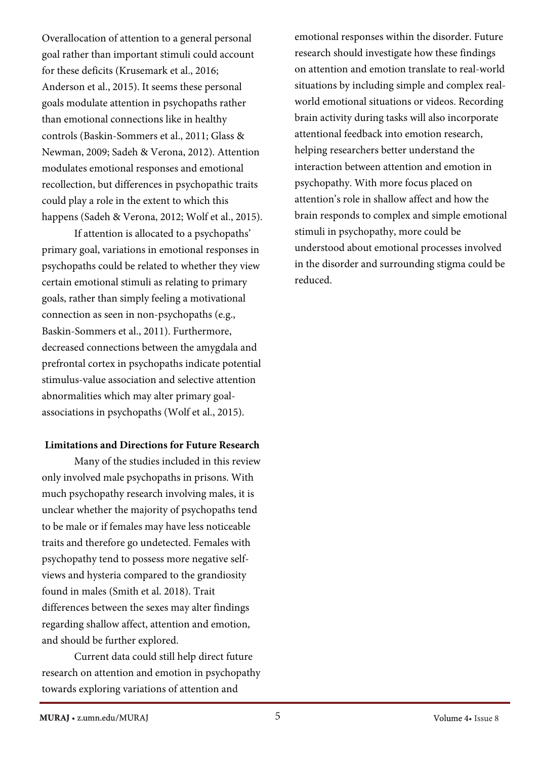Overallocation of attention to a general personal goal rather than important stimuli could account for these deficits (Krusemark et al., 2016; Anderson et al., 2015). It seems these personal goals modulate attention in psychopaths rather than emotional connections like in healthy controls (Baskin-Sommers et al., 2011; Glass & Newman, 2009; Sadeh & Verona, 2012). Attention modulates emotional responses and emotional recollection, but differences in psychopathic traits could play a role in the extent to which this happens (Sadeh & Verona, 2012; Wolf et al., 2015).

 If attention is allocated to a psychopaths' primary goal, variations in emotional responses in psychopaths could be related to whether they view certain emotional stimuli as relating to primary goals, rather than simply feeling a motivational connection as seen in non-psychopaths (e.g., Baskin-Sommers et al., 2011). Furthermore, decreased connections between the amygdala and prefrontal cortex in psychopaths indicate potential stimulus-value association and selective attention abnormalities which may alter primary goalassociations in psychopaths (Wolf et al., 2015).

### **Limitations and Directions for Future Research**

 Many of the studies included in this review only involved male psychopaths in prisons. With much psychopathy research involving males, it is unclear whether the majority of psychopaths tend to be male or if females may have less noticeable traits and therefore go undetected. Females with psychopathy tend to possess more negative selfviews and hysteria compared to the grandiosity found in males (Smith et al. 2018). Trait differences between the sexes may alter findings regarding shallow affect, attention and emotion, and should be further explored.

Current data could still help direct future research on attention and emotion in psychopathy towards exploring variations of attention and

emotional responses within the disorder. Future research should investigate how these findings on attention and emotion translate to real-world situations by including simple and complex realworld emotional situations or videos. Recording brain activity during tasks will also incorporate attentional feedback into emotion research, helping researchers better understand the interaction between attention and emotion in psychopathy. With more focus placed on attention's role in shallow affect and how the brain responds to complex and simple emotional stimuli in psychopathy, more could be understood about emotional processes involved in the disorder and surrounding stigma could be reduced.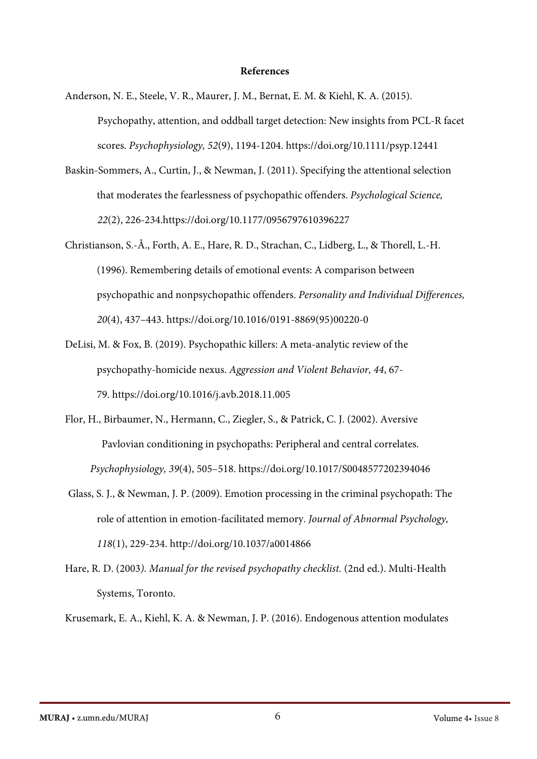#### **References**

- Anderson, N. E., Steele, V. R., Maurer, J. M., Bernat, E. M. & Kiehl, K. A. (2015). Psychopathy, attention, and oddball target detection: New insights from PCL-R facet scores. *Psychophysiology, 52*(9), 1194-1204. h[ttps://doi.org/10.1111/psyp.12441](https://doi.org/10.1111/psyp.12441)
- Baskin-Sommers, A., Curtin, J., & Newman, J. (2011). Specifying the attentional selection that moderates the fearlessness of psychopathic offenders. *Psychological Science, 22*(2), 226-234[.https://doi.org/10.1177/0956797610396227](https://doi.org/10.1177/0956797610396227)
- Christianson, S.-Å., Forth, A. E., Hare, R. D., Strachan, C., Lidberg, L., & Thorell, L.-H. (1996). Remembering details of emotional events: A comparison between psychopathic and nonpsychopathic offenders. *Personality and Individual Differences, 20*(4), 437–443. [https://doi.org/10.1016/0191-8869\(95\)00220-0](https://doi.org/10.1016/0191-8869(95)00220-0)
- DeLisi, M. & Fox, B. (2019). Psychopathic killers: A meta-analytic review of the psychopathy-homicide nexus. *Aggression and Violent Behavior, 44*, 67- 79.<https://doi.org/10.1016/j.avb.2018.11.005>
- Flor, H., Birbaumer, N., Hermann, C., Ziegler, S., & Patrick, C. J. (2002). Aversive Pavlovian conditioning in psychopaths: Peripheral and central correlates. *Psychophysiology, 39*(4), 505–518. ht[tps://doi.org/10.1017/S0048577202394046](https://doi.org/10.1017/S0048577202394046)
- Glass, S. J., & Newman, J. P. (2009). Emotion processing in the criminal psychopath: The role of attention in emotion-facilitated memory. *Journal of Abnormal Psychology, 118*(1), 229-234. <http://doi.org/10.1037/a0014866>
- Hare, R. D. (2003*). Manual for the revised psychopathy checklist.* (2nd ed.). Multi-Health Systems, Toronto.

Krusemark, E. A., Kiehl, K. A. & Newman, J. P. (2016). Endogenous attention modulates